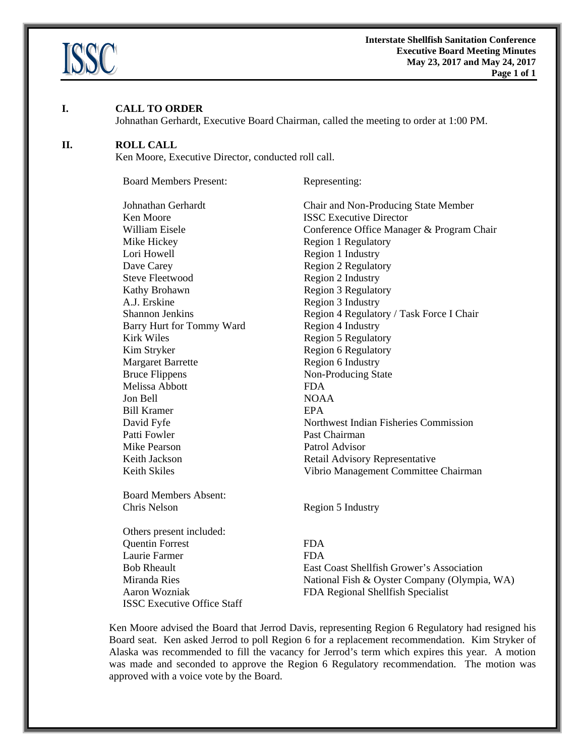

#### **I. CALL TO ORDER**

Johnathan Gerhardt, Executive Board Chairman, called the meeting to order at 1:00 PM.

#### **II. ROLL CALL**

Ken Moore, Executive Director, conducted roll call.

Board Members Present: Representing:

| Johnathan Gerhardt           | Chair       |
|------------------------------|-------------|
| Ken Moore                    | <b>ISSC</b> |
| William Eisele               | Confe       |
| Mike Hickey                  | Regio       |
| Lori Howell                  | Regio       |
| Dave Carey                   | Regio       |
| <b>Steve Fleetwood</b>       | Regio       |
| Kathy Brohawn                | Regio       |
| A.J. Erskine                 | Regio       |
| <b>Shannon Jenkins</b>       | Regio       |
| Barry Hurt for Tommy Ward    | Regio       |
| Kirk Wiles                   | Regio       |
| Kim Stryker                  | Regio       |
| <b>Margaret Barrette</b>     | Regio       |
| <b>Bruce Flippens</b>        | Non-l       |
| Melissa Abbott               | <b>FDA</b>  |
| Jon Bell                     | <b>NOA</b>  |
| <b>Bill Kramer</b>           | EPA         |
| David Fyfe                   | North       |
| Patti Fowler                 | Past C      |
| Mike Pearson                 | Patrol      |
| Keith Jackson                | Retail      |
| <b>Keith Skiles</b>          | Vibri       |
| <b>Board Members Absent:</b> |             |
| Chris Nelson                 | Regio       |
|                              |             |

Others present included: Quentin Forrest FDA Laurie Farmer FDA ISSC Executive Office Staff

Chair and Non-Producing State Member **ISSC Executive Director** Conference Office Manager & Program Chair Region 1 Regulatory Region 1 Industry Region 2 Regulatory Region 2 Industry Region 3 Regulatory Region 3 Industry Region 4 Regulatory / Task Force I Chair Region 4 Industry Region 5 Regulatory Region 6 Regulatory Region 6 Industry Non-Producing State NOAA Northwest Indian Fisheries Commission Past Chairman Patrol Advisor Retail Advisory Representative Vibrio Management Committee Chairman

Region 5 Industry

Bob Rheault East Coast Shellfish Grower's Association Miranda Ries National Fish & Oyster Company (Olympia, WA) Aaron Wozniak FDA Regional Shellfish Specialist

Ken Moore advised the Board that Jerrod Davis, representing Region 6 Regulatory had resigned his Board seat. Ken asked Jerrod to poll Region 6 for a replacement recommendation. Kim Stryker of Alaska was recommended to fill the vacancy for Jerrod's term which expires this year. A motion was made and seconded to approve the Region 6 Regulatory recommendation. The motion was approved with a voice vote by the Board.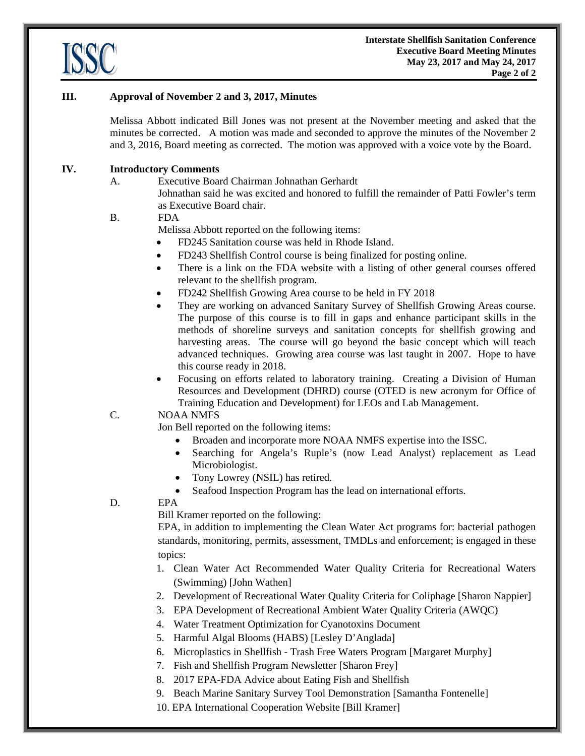

### **III. Approval of November 2 and 3, 2017, Minutes**

Melissa Abbott indicated Bill Jones was not present at the November meeting and asked that the minutes be corrected. A motion was made and seconded to approve the minutes of the November 2 and 3, 2016, Board meeting as corrected. The motion was approved with a voice vote by the Board.

#### **IV. Introductory Comments**

A. Executive Board Chairman Johnathan Gerhardt Johnathan said he was excited and honored to fulfill the remainder of Patti Fowler's term as Executive Board chair.

#### B. FDA

Melissa Abbott reported on the following items:

- FD245 Sanitation course was held in Rhode Island.
- FD243 Shellfish Control course is being finalized for posting online.
- There is a link on the FDA website with a listing of other general courses offered relevant to the shellfish program.
- FD242 Shellfish Growing Area course to be held in FY 2018
- They are working on advanced Sanitary Survey of Shellfish Growing Areas course. The purpose of this course is to fill in gaps and enhance participant skills in the methods of shoreline surveys and sanitation concepts for shellfish growing and harvesting areas. The course will go beyond the basic concept which will teach advanced techniques. Growing area course was last taught in 2007. Hope to have this course ready in 2018.
- Focusing on efforts related to laboratory training. Creating a Division of Human Resources and Development (DHRD) course (OTED is new acronym for Office of Training Education and Development) for LEOs and Lab Management.

#### C. NOAA NMFS

Jon Bell reported on the following items:

- Broaden and incorporate more NOAA NMFS expertise into the ISSC.
- Searching for Angela's Ruple's (now Lead Analyst) replacement as Lead Microbiologist.
- Tony Lowrey (NSIL) has retired.
- Seafood Inspection Program has the lead on international efforts.

D. EPA

Bill Kramer reported on the following:

EPA, in addition to implementing the Clean Water Act programs for: bacterial pathogen standards, monitoring, permits, assessment, TMDLs and enforcement; is engaged in these topics:

- 1. Clean Water Act Recommended Water Quality Criteria for Recreational Waters (Swimming) [John Wathen]
- 2. Development of Recreational Water Quality Criteria for Coliphage [Sharon Nappier]
- 3. EPA Development of Recreational Ambient Water Quality Criteria (AWQC)
- 4. Water Treatment Optimization for Cyanotoxins Document
- 5. Harmful Algal Blooms (HABS) [Lesley D'Anglada]
- 6. Microplastics in Shellfish Trash Free Waters Program [Margaret Murphy]
- 7. Fish and Shellfish Program Newsletter [Sharon Frey]
- 8. 2017 EPA-FDA Advice about Eating Fish and Shellfish
- 9. Beach Marine Sanitary Survey Tool Demonstration [Samantha Fontenelle]
- 10. EPA International Cooperation Website [Bill Kramer]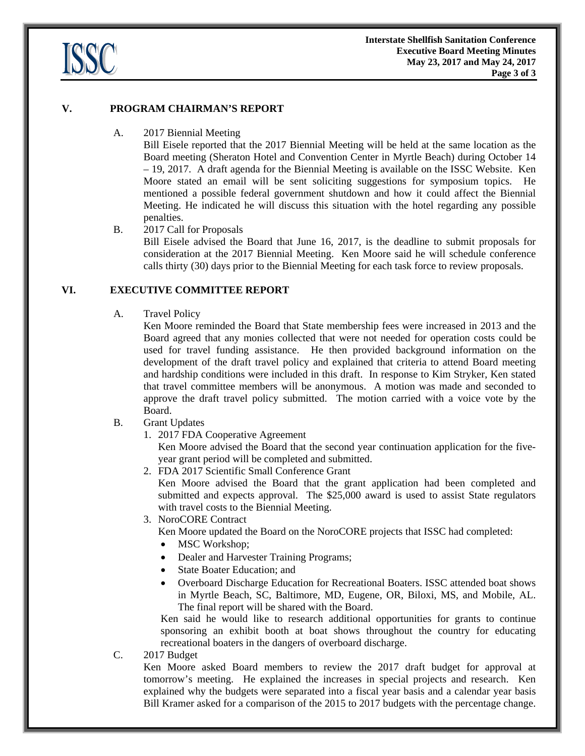

#### **V. PROGRAM CHAIRMAN'S REPORT**

### A. 2017 Biennial Meeting

Bill Eisele reported that the 2017 Biennial Meeting will be held at the same location as the Board meeting (Sheraton Hotel and Convention Center in Myrtle Beach) during October 14 – 19, 2017. A draft agenda for the Biennial Meeting is available on the ISSC Website. Ken Moore stated an email will be sent soliciting suggestions for symposium topics. He mentioned a possible federal government shutdown and how it could affect the Biennial Meeting. He indicated he will discuss this situation with the hotel regarding any possible penalties.

### B. 2017 Call for Proposals

 Bill Eisele advised the Board that June 16, 2017, is the deadline to submit proposals for consideration at the 2017 Biennial Meeting. Ken Moore said he will schedule conference calls thirty (30) days prior to the Biennial Meeting for each task force to review proposals.

### **VI. EXECUTIVE COMMITTEE REPORT**

#### A. Travel Policy

Ken Moore reminded the Board that State membership fees were increased in 2013 and the Board agreed that any monies collected that were not needed for operation costs could be used for travel funding assistance. He then provided background information on the development of the draft travel policy and explained that criteria to attend Board meeting and hardship conditions were included in this draft. In response to Kim Stryker, Ken stated that travel committee members will be anonymous. A motion was made and seconded to approve the draft travel policy submitted. The motion carried with a voice vote by the Board.

# B. Grant Updates

1. 2017 FDA Cooperative Agreement

Ken Moore advised the Board that the second year continuation application for the fiveyear grant period will be completed and submitted.

2. FDA 2017 Scientific Small Conference Grant

Ken Moore advised the Board that the grant application had been completed and submitted and expects approval. The \$25,000 award is used to assist State regulators with travel costs to the Biennial Meeting.

#### 3. NoroCORE Contract

Ken Moore updated the Board on the NoroCORE projects that ISSC had completed:

- MSC Workshop;
- Dealer and Harvester Training Programs;
- State Boater Education; and
- Overboard Discharge Education for Recreational Boaters. ISSC attended boat shows in Myrtle Beach, SC, Baltimore, MD, Eugene, OR, Biloxi, MS, and Mobile, AL. The final report will be shared with the Board.

Ken said he would like to research additional opportunities for grants to continue sponsoring an exhibit booth at boat shows throughout the country for educating recreational boaters in the dangers of overboard discharge.

#### C. 2017 Budget

Ken Moore asked Board members to review the 2017 draft budget for approval at tomorrow's meeting. He explained the increases in special projects and research. Ken explained why the budgets were separated into a fiscal year basis and a calendar year basis Bill Kramer asked for a comparison of the 2015 to 2017 budgets with the percentage change.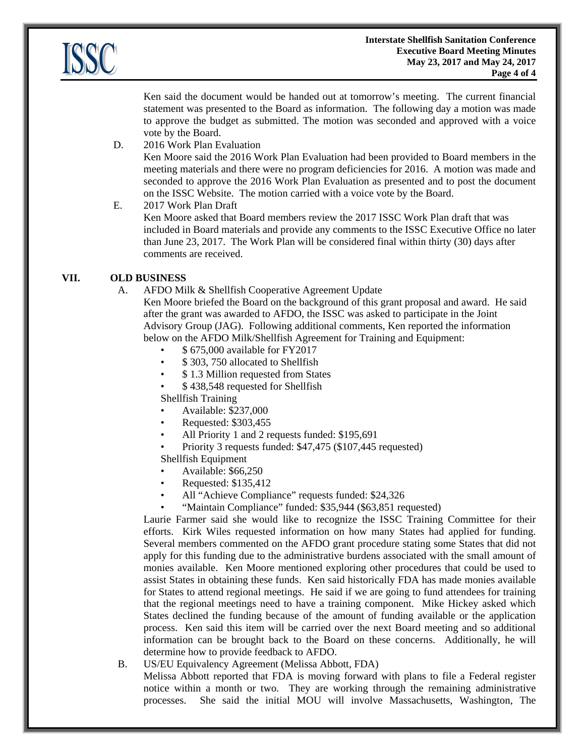

Ken said the document would be handed out at tomorrow's meeting. The current financial statement was presented to the Board as information. The following day a motion was made to approve the budget as submitted. The motion was seconded and approved with a voice vote by the Board.

D. 2016 Work Plan Evaluation

Ken Moore said the 2016 Work Plan Evaluation had been provided to Board members in the meeting materials and there were no program deficiencies for 2016. A motion was made and seconded to approve the 2016 Work Plan Evaluation as presented and to post the document on the ISSC Website. The motion carried with a voice vote by the Board.

### E. 2017 Work Plan Draft

Ken Moore asked that Board members review the 2017 ISSC Work Plan draft that was included in Board materials and provide any comments to the ISSC Executive Office no later than June 23, 2017. The Work Plan will be considered final within thirty (30) days after comments are received.

# **VII. OLD BUSINESS**

A. AFDO Milk & Shellfish Cooperative Agreement Update

Ken Moore briefed the Board on the background of this grant proposal and award. He said after the grant was awarded to AFDO, the ISSC was asked to participate in the Joint Advisory Group (JAG). Following additional comments, Ken reported the information below on the AFDO Milk/Shellfish Agreement for Training and Equipment:

- \$ 675,000 available for FY2017
- \$ 303, 750 allocated to Shellfish
- \$ 1.3 Million requested from States
- \$ 438,548 requested for Shellfish

Shellfish Training

- Available: \$237,000
- Requested: \$303,455
- All Priority 1 and 2 requests funded: \$195,691
- Priority 3 requests funded: \$47,475 (\$107,445 requested)

# Shellfish Equipment

- Available: \$66,250
- Requested: \$135,412
- All "Achieve Compliance" requests funded: \$24,326
- "Maintain Compliance" funded: \$35,944 (\$63,851 requested)

Laurie Farmer said she would like to recognize the ISSC Training Committee for their efforts. Kirk Wiles requested information on how many States had applied for funding. Several members commented on the AFDO grant procedure stating some States that did not apply for this funding due to the administrative burdens associated with the small amount of monies available. Ken Moore mentioned exploring other procedures that could be used to assist States in obtaining these funds. Ken said historically FDA has made monies available for States to attend regional meetings. He said if we are going to fund attendees for training that the regional meetings need to have a training component. Mike Hickey asked which States declined the funding because of the amount of funding available or the application process. Ken said this item will be carried over the next Board meeting and so additional information can be brought back to the Board on these concerns. Additionally, he will determine how to provide feedback to AFDO.

B. US/EU Equivalency Agreement (Melissa Abbott, FDA)

Melissa Abbott reported that FDA is moving forward with plans to file a Federal register notice within a month or two. They are working through the remaining administrative processes. She said the initial MOU will involve Massachusetts, Washington, The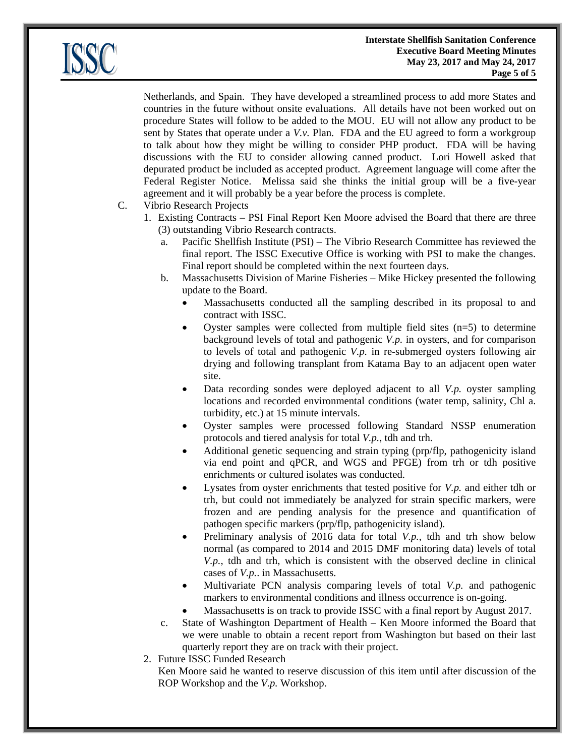

Netherlands, and Spain. They have developed a streamlined process to add more States and countries in the future without onsite evaluations. All details have not been worked out on procedure States will follow to be added to the MOU. EU will not allow any product to be sent by States that operate under a *V.v.* Plan. FDA and the EU agreed to form a workgroup to talk about how they might be willing to consider PHP product. FDA will be having discussions with the EU to consider allowing canned product. Lori Howell asked that depurated product be included as accepted product. Agreement language will come after the Federal Register Notice. Melissa said she thinks the initial group will be a five-year agreement and it will probably be a year before the process is complete.

- C. Vibrio Research Projects
	- 1. Existing Contracts PSI Final Report Ken Moore advised the Board that there are three (3) outstanding Vibrio Research contracts.
		- a. Pacific Shellfish Institute (PSI) The Vibrio Research Committee has reviewed the final report. The ISSC Executive Office is working with PSI to make the changes. Final report should be completed within the next fourteen days.
		- b. Massachusetts Division of Marine Fisheries Mike Hickey presented the following update to the Board.
			- Massachusetts conducted all the sampling described in its proposal to and contract with ISSC.
			- Oyster samples were collected from multiple field sites  $(n=5)$  to determine background levels of total and pathogenic *V.p.* in oysters, and for comparison to levels of total and pathogenic *V.p.* in re-submerged oysters following air drying and following transplant from Katama Bay to an adjacent open water site.
			- Data recording sondes were deployed adjacent to all *V.p.* oyster sampling locations and recorded environmental conditions (water temp, salinity, Chl a. turbidity, etc.) at 15 minute intervals.
			- Oyster samples were processed following Standard NSSP enumeration protocols and tiered analysis for total *V.p.*, tdh and trh.
			- Additional genetic sequencing and strain typing (prp/flp, pathogenicity island via end point and qPCR, and WGS and PFGE) from trh or tdh positive enrichments or cultured isolates was conducted.
			- Lysates from oyster enrichments that tested positive for *V.p.* and either tdh or trh, but could not immediately be analyzed for strain specific markers, were frozen and are pending analysis for the presence and quantification of pathogen specific markers (prp/flp, pathogenicity island).
			- Preliminary analysis of 2016 data for total *V.p.*, tdh and trh show below normal (as compared to 2014 and 2015 DMF monitoring data) levels of total *V.p.*, tdh and trh, which is consistent with the observed decline in clinical cases of *V.p.*. in Massachusetts.
			- Multivariate PCN analysis comparing levels of total *V.p.* and pathogenic markers to environmental conditions and illness occurrence is on-going.
			- Massachusetts is on track to provide ISSC with a final report by August 2017.
		- c. State of Washington Department of Health Ken Moore informed the Board that we were unable to obtain a recent report from Washington but based on their last quarterly report they are on track with their project.
	- 2. Future ISSC Funded Research

Ken Moore said he wanted to reserve discussion of this item until after discussion of the ROP Workshop and the *V.p.* Workshop.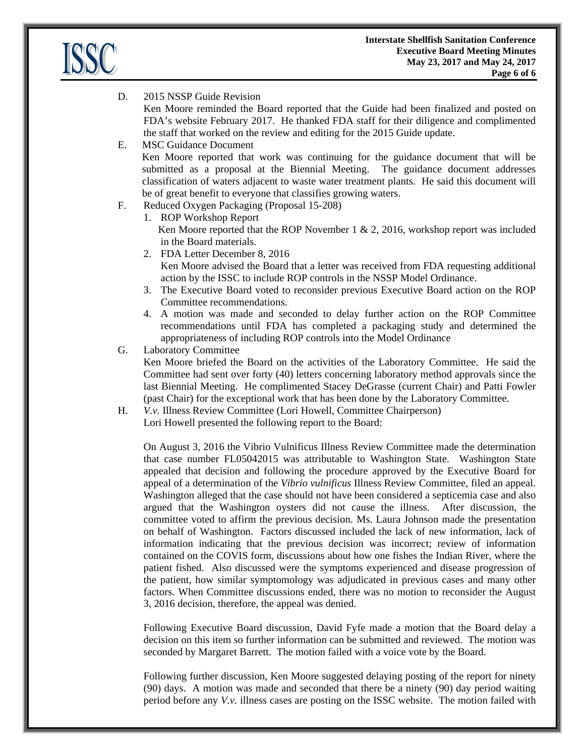

D. 2015 NSSP Guide Revision

Ken Moore reminded the Board reported that the Guide had been finalized and posted on FDA's website February 2017. He thanked FDA staff for their diligence and complimented the staff that worked on the review and editing for the 2015 Guide update.

- E. MSC Guidance Document Ken Moore reported that work was continuing for the guidance document that will be submitted as a proposal at the Biennial Meeting. The guidance document addresses classification of waters adjacent to waste water treatment plants. He said this document will be of great benefit to everyone that classifies growing waters.
- F. Reduced Oxygen Packaging (Proposal 15-208)
	- 1. ROP Workshop Report Ken Moore reported that the ROP November  $1 \& 2, 2016$ , workshop report was included in the Board materials.
	- 2. FDA Letter December 8, 2016 Ken Moore advised the Board that a letter was received from FDA requesting additional action by the ISSC to include ROP controls in the NSSP Model Ordinance.
	- 3. The Executive Board voted to reconsider previous Executive Board action on the ROP Committee recommendations.
	- 4. A motion was made and seconded to delay further action on the ROP Committee recommendations until FDA has completed a packaging study and determined the appropriateness of including ROP controls into the Model Ordinance
- G. Laboratory Committee

Ken Moore briefed the Board on the activities of the Laboratory Committee. He said the Committee had sent over forty (40) letters concerning laboratory method approvals since the last Biennial Meeting. He complimented Stacey DeGrasse (current Chair) and Patti Fowler (past Chair) for the exceptional work that has been done by the Laboratory Committee.

H. *V.v.* Illness Review Committee (Lori Howell, Committee Chairperson) Lori Howell presented the following report to the Board:

On August 3, 2016 the Vibrio Vulnificus Illness Review Committee made the determination that case number FL05042015 was attributable to Washington State. Washington State appealed that decision and following the procedure approved by the Executive Board for appeal of a determination of the *Vibrio vulnificus* Illness Review Committee, filed an appeal. Washington alleged that the case should not have been considered a septicemia case and also argued that the Washington oysters did not cause the illness. After discussion, the committee voted to affirm the previous decision. Ms. Laura Johnson made the presentation on behalf of Washington. Factors discussed included the lack of new information, lack of information indicating that the previous decision was incorrect; review of information contained on the COVIS form, discussions about how one fishes the Indian River, where the patient fished. Also discussed were the symptoms experienced and disease progression of the patient, how similar symptomology was adjudicated in previous cases and many other factors. When Committee discussions ended, there was no motion to reconsider the August 3, 2016 decision, therefore, the appeal was denied.

Following Executive Board discussion, David Fyfe made a motion that the Board delay a decision on this item so further information can be submitted and reviewed. The motion was seconded by Margaret Barrett. The motion failed with a voice vote by the Board.

Following further discussion, Ken Moore suggested delaying posting of the report for ninety (90) days. A motion was made and seconded that there be a ninety (90) day period waiting period before any *V.v.* illness cases are posting on the ISSC website. The motion failed with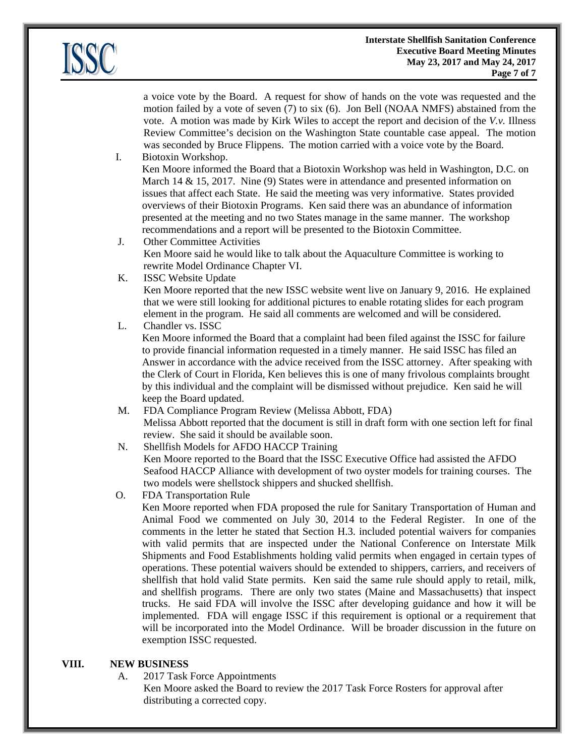

a voice vote by the Board. A request for show of hands on the vote was requested and the motion failed by a vote of seven (7) to six (6). Jon Bell (NOAA NMFS) abstained from the vote. A motion was made by Kirk Wiles to accept the report and decision of the *V.v.* Illness Review Committee's decision on the Washington State countable case appeal. The motion was seconded by Bruce Flippens. The motion carried with a voice vote by the Board.

I. Biotoxin Workshop.

Ken Moore informed the Board that a Biotoxin Workshop was held in Washington, D.C. on March 14 & 15, 2017. Nine (9) States were in attendance and presented information on issues that affect each State. He said the meeting was very informative. States provided overviews of their Biotoxin Programs. Ken said there was an abundance of information presented at the meeting and no two States manage in the same manner. The workshop recommendations and a report will be presented to the Biotoxin Committee.

J. Other Committee Activities Ken Moore said he would like to talk about the Aquaculture Committee is working to rewrite Model Ordinance Chapter VI.

K. ISSC Website Update

Ken Moore reported that the new ISSC website went live on January 9, 2016. He explained that we were still looking for additional pictures to enable rotating slides for each program element in the program. He said all comments are welcomed and will be considered.

L. Chandler vs. ISSC

Ken Moore informed the Board that a complaint had been filed against the ISSC for failure to provide financial information requested in a timely manner. He said ISSC has filed an Answer in accordance with the advice received from the ISSC attorney. After speaking with the Clerk of Court in Florida, Ken believes this is one of many frivolous complaints brought by this individual and the complaint will be dismissed without prejudice. Ken said he will keep the Board updated.

- M. FDA Compliance Program Review (Melissa Abbott, FDA) Melissa Abbott reported that the document is still in draft form with one section left for final review. She said it should be available soon.
- N. Shellfish Models for AFDO HACCP Training Ken Moore reported to the Board that the ISSC Executive Office had assisted the AFDO Seafood HACCP Alliance with development of two oyster models for training courses. The two models were shellstock shippers and shucked shellfish.
- O. FDA Transportation Rule

Ken Moore reported when FDA proposed the rule for Sanitary Transportation of Human and Animal Food we commented on July 30, 2014 to the Federal Register. In one of the comments in the letter he stated that Section H.3. included potential waivers for companies with valid permits that are inspected under the National Conference on Interstate Milk Shipments and Food Establishments holding valid permits when engaged in certain types of operations. These potential waivers should be extended to shippers, carriers, and receivers of shellfish that hold valid State permits. Ken said the same rule should apply to retail, milk, and shellfish programs. There are only two states (Maine and Massachusetts) that inspect trucks. He said FDA will involve the ISSC after developing guidance and how it will be implemented. FDA will engage ISSC if this requirement is optional or a requirement that will be incorporated into the Model Ordinance. Will be broader discussion in the future on exemption ISSC requested.

# **VIII. NEW BUSINESS**

- A. 2017 Task Force Appointments
	- Ken Moore asked the Board to review the 2017 Task Force Rosters for approval after distributing a corrected copy.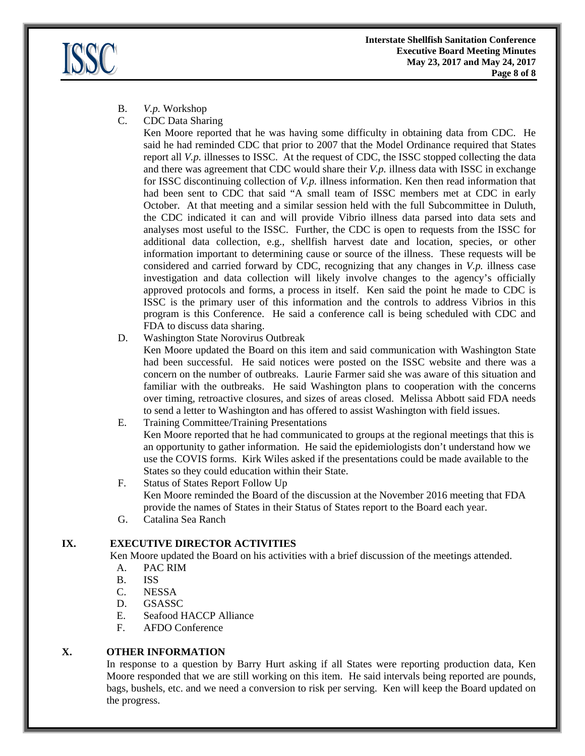

- B. *V.p.* Workshop
- C. CDC Data Sharing

 Ken Moore reported that he was having some difficulty in obtaining data from CDC. He said he had reminded CDC that prior to 2007 that the Model Ordinance required that States report all *V.p.* illnesses to ISSC. At the request of CDC, the ISSC stopped collecting the data and there was agreement that CDC would share their *V.p.* illness data with ISSC in exchange for ISSC discontinuing collection of *V.p.* illness information. Ken then read information that had been sent to CDC that said "A small team of ISSC members met at CDC in early October. At that meeting and a similar session held with the full Subcommittee in Duluth, the CDC indicated it can and will provide Vibrio illness data parsed into data sets and analyses most useful to the ISSC. Further, the CDC is open to requests from the ISSC for additional data collection, e.g., shellfish harvest date and location, species, or other information important to determining cause or source of the illness. These requests will be considered and carried forward by CDC, recognizing that any changes in *V.p.* illness case investigation and data collection will likely involve changes to the agency's officially approved protocols and forms, a process in itself. Ken said the point he made to CDC is ISSC is the primary user of this information and the controls to address Vibrios in this program is this Conference. He said a conference call is being scheduled with CDC and FDA to discuss data sharing.

D. Washington State Norovirus Outbreak

 Ken Moore updated the Board on this item and said communication with Washington State had been successful. He said notices were posted on the ISSC website and there was a concern on the number of outbreaks. Laurie Farmer said she was aware of this situation and familiar with the outbreaks. He said Washington plans to cooperation with the concerns over timing, retroactive closures, and sizes of areas closed. Melissa Abbott said FDA needs to send a letter to Washington and has offered to assist Washington with field issues.

E. Training Committee/Training Presentations

 Ken Moore reported that he had communicated to groups at the regional meetings that this is an opportunity to gather information. He said the epidemiologists don't understand how we use the COVIS forms. Kirk Wiles asked if the presentations could be made available to the States so they could education within their State.

- F. Status of States Report Follow Up Ken Moore reminded the Board of the discussion at the November 2016 meeting that FDA provide the names of States in their Status of States report to the Board each year.
- G. Catalina Sea Ranch

# **IX. EXECUTIVE DIRECTOR ACTIVITIES**

Ken Moore updated the Board on his activities with a brief discussion of the meetings attended.

- A. PAC RIM
- B. ISS
- C. NESSA
- D. GSASSC
- E. Seafood HACCP Alliance
- F. AFDO Conference

# **X. OTHER INFORMATION**

In response to a question by Barry Hurt asking if all States were reporting production data, Ken Moore responded that we are still working on this item. He said intervals being reported are pounds, bags, bushels, etc. and we need a conversion to risk per serving. Ken will keep the Board updated on the progress.